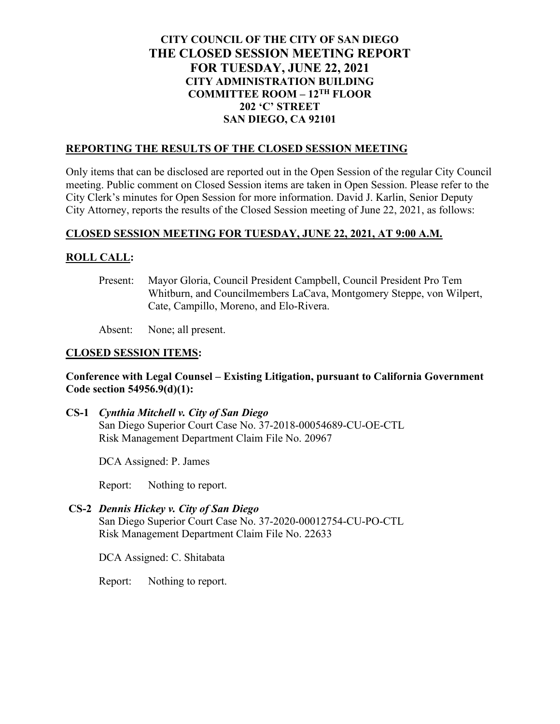# **CITY COUNCIL OF THE CITY OF SAN DIEGO THE CLOSED SESSION MEETING REPORT FOR TUESDAY, JUNE 22, 2021 CITY ADMINISTRATION BUILDING COMMITTEE ROOM – 12TH FLOOR 202 'C' STREET SAN DIEGO, CA 92101**

### **REPORTING THE RESULTS OF THE CLOSED SESSION MEETING**

Only items that can be disclosed are reported out in the Open Session of the regular City Council meeting. Public comment on Closed Session items are taken in Open Session. Please refer to the City Clerk's minutes for Open Session for more information. David J. Karlin, Senior Deputy City Attorney, reports the results of the Closed Session meeting of June 22, 2021, as follows:

## **CLOSED SESSION MEETING FOR TUESDAY, JUNE 22, 2021, AT 9:00 A.M.**

## **ROLL CALL:**

Present: Mayor Gloria, Council President Campbell, Council President Pro Tem Whitburn, and Councilmembers LaCava, Montgomery Steppe, von Wilpert, Cate, Campillo, Moreno, and Elo-Rivera.

Absent: None; all present.

#### **CLOSED SESSION ITEMS:**

### **Conference with Legal Counsel – Existing Litigation, pursuant to California Government Code section 54956.9(d)(1):**

**CS-1** *Cynthia Mitchell v. City of San Diego* San Diego Superior Court Case No. 37-2018-00054689-CU-OE-CTL Risk Management Department Claim File No. 20967

DCA Assigned: P. James

Report: Nothing to report.

## **CS-2** *Dennis Hickey v. City of San Diego*

San Diego Superior Court Case No. 37-2020-00012754-CU-PO-CTL Risk Management Department Claim File No. 22633

DCA Assigned: C. Shitabata

Report: Nothing to report.